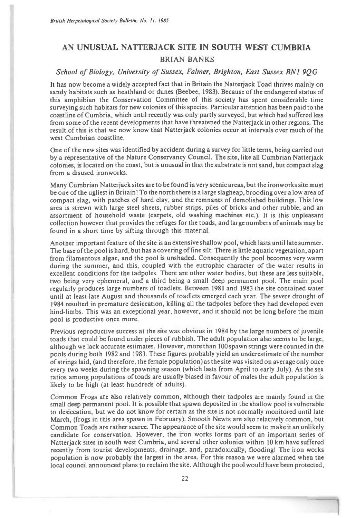i!1

# **AN UNUSUAL NATTERJACK SITE IN SOUTH WEST CUMBRIA BRIAN BANKS**

## *School of Biology, University of Sussex, Falmer, Brighton, East Sussex BN1 9QG*

It has now become a widely accepted fact that in Britain the Natterjack Toad thrives mainly on sandy habitats such as heathland or dunes (Beebee, 1983). Because of the endangered status of this amphibian the Conservation Committee of this society has spent considerable time surveying such habitats for new colonies of this species. Particular attention has been paid to the coastline of Cumbria, which until recently was only partly surveyed, but which had suffered less from some of the recent developments that have threatened the Natterjack in other regions. The result of this is that we now know that Natterjack colonies occur at intervals over much of the west Cumbrian coastline.

One of the new sites was identified by accident during a survey for little terns, being carried out by a representative of the Nature Conservancy Council. The site, like all Cumbrian Natterjack colonies, is located on the coast, but is unusual in that the substrate is not sand, but compact slag from a disused ironworks.

Many Cumbrian Natterjack sites are to be found in very scenic areas, but the ironworks site must be one of the ugliest in Britain! To the north there is a large slagheap, brooding over a low area of compact slag, with patches of hard clay, and the remnants of demolished buildings. This low area is strewn with large steel sheets, rubber strips, piles of bricks and other rubble, and an assortment of household waste (carpets, old washing machines etc.). It is this unpleasant collection however that provides the refuges for the toads, and large numbers of animals may be found in a short time by sifting through this material.

Another important feature of the site is an extensive shallow pool, which lasts until late summer. The base of the pool is hard, but has a covering of fine silt. There is little aquatic vegetation, apart from filamentous algae, and the pool is unshaded. Consequently the pool becomes very warm during the summer, and this, coupled with the eutrophic character of the water results in excellent conditions for the tadpoles. There are other water bodies, but these are less suitable, two being very ephemeral, and a third being a small deep permanent pool. The main pool regularly produces large numbers of toadlets. Between 1981 and 1983 the site contained water until at least late August and thousands of toadlets emerged each year. The severe drought of 1984 resulted in premature desiccation, killing all the tadpoles before they had developed even hind-limbs. This was an exceptional year, however, and it should not be long before the main pool is productive once more.

Previous reproductive success at the site was obvious in 1984 by the large numbers of juvenile toads that could be found under pieces of rubbish. The adult population also seems to be large, although we lack accurate estimates. However, more than 100 spawn strings were counted in the pools during both 1982 and 1983. These figures probably yield an underestimate of the number of strings laid, (and therefore, the female population) as the site was visited on average only once every two weeks during the spawning season (which lasts from April to early July). As the sex ratios among populations of toads are usually biased in favour of males the adult population is likely to be high (at least hundreds of adults).

Common Frogs are also relatively common, although their tadpoles are mainly found in the small deep permanent pool. It is possible that spawn deposited in the shallow pool is vulnerable to desiccation, but we do not know for certain as the site is not normally monitored until late March, (frogs in this area spawn in February). Smooth Newts are also relatively common, but Common Toads are rather scarce. The appearance of the site would seem to make it an unlikely candidate for conservation. However, the iron works forms part of an important series of Natterjack sites in south west Cumbria, and several other colonies within 10 km have suffered recently from tourist developments, drainage, and, paradoxically, flooding! The iron works population is now probably the largest in the area. For this reason we were alarmed when the local council announced plans to reclaim the site. Although the pool would have been protected,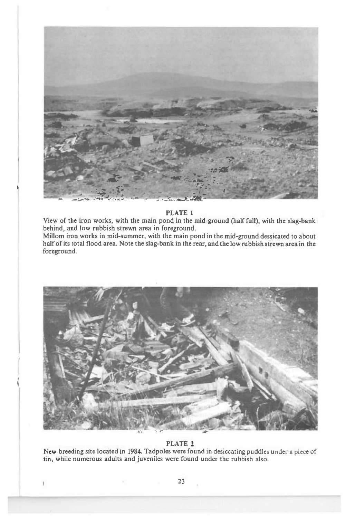

## **PLATE 1**

View of the iron works, with the main pond in the mid-ground (half full), with the slag-bank behind, and low rubbish strewn area in foreground.

Millom iron works in mid-summer, with the main pond in the mid-ground dessicated to about half of its total flood area. Note the slag-bank in the rear, and the low rubbish strewn area in the foreground.



## PLATE<sub>2</sub>

New breeding site located in 1984. Tadpoles were found in desiccating puddles under a piece of tin, while numerous adults and juveniles were found under the rubbish also.

ï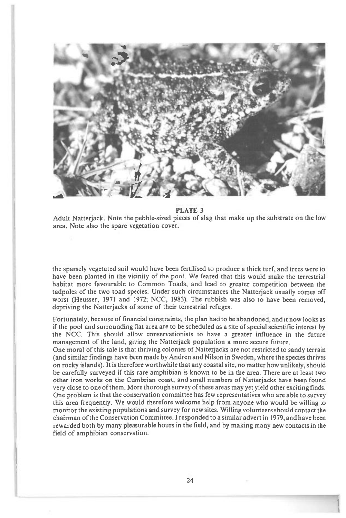

#### **PLATE** 3

1

I

Adult Natterjack. Note the pebble-sized pieces of slag that make up the substrate on the low area. Note also the spare vegetation cover.

the sparsely vegetated soil would have been fertilised to produce a thick turf, and trees were to have been planted in the vicinity of the pool. We feared that this would make the terrestrial habitat more favourable to Common Toads, and lead to greater competition between the tadpoles of the two toad species. Under such circumstances the Natterjack usually comes off worst (Heusser, 1971 and 1972; NCC, 1983). The rubbish was also to have been removed, depriving the Natterjacks of some of their terrestrial refuges.

Fortunately, because of financial constraints, the plan had to be abandoned, and it now looks as if the pool and surrounding flat area are to be scheduled as a site of special scientific interest by the NCC. This should allow conservationists to have a greater influence in the future management of the land, giving the Natterjack population a more secure future.

One moral of this tale is that thriving colonies of Natterjacks are not restricted to sandy terrain (and similar findings have been made by Andren and Nilson in Sweden, where the species thrives on rocky islands). It is therefore worthwhile that any coastal site, no matter how unlikely, should be carefully surveyed if this rare amphibian is known to be in the area. There are at least two other iron works on the Cumbrian coast, and small numbers of Natterjacks have been found very close to one of them. More thorough survey of these areas may yet yield other exciting finds. One problem is that the conservation committee has few representatives who are able to survey this area frequently. We would therefore welcome help from anyone who would be willing to monitor the existing populations and survey for new sites. Willing volunteers should contact the chairman of the Conservation Committee. I responded to a similar advert in 1979, and have been rewarded both by many pleasurable hours in the field, and by making many new contacts in the field of amphibian conservation.